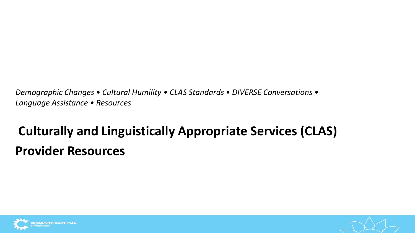*Demographic Changes • Cultural Humility • CLAS Standards • DIVERSE Conversations • Language Assistance • Resources* 

## **Culturally and Linguistically Appropriate Services (CLAS) Provider Resources**



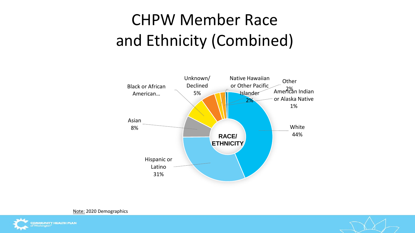## CHPW Member Race and Ethnicity (Combined)



#### Note: 2020 Demographics



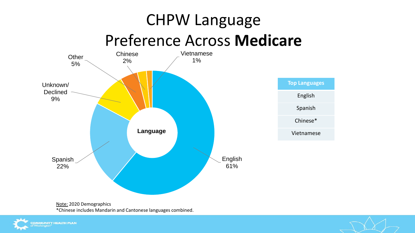## CHPW Language Preference Across **Medicare**



Note: 2020 Demographics \*Chinese includes Mandarin and Cantonese languages combined.



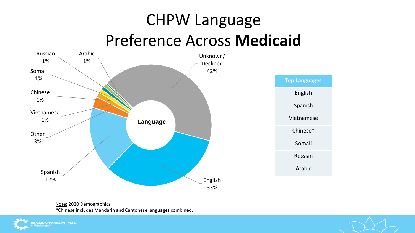## CHPW Language Preference Across **Medicaid**



#### Note: 2020 Demographics

\*Chinese includes Mandarin and Cantonese languages combined.



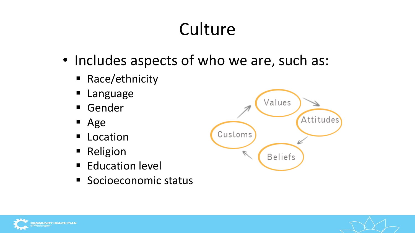# **Culture**

- Includes aspects of who we are, such as:
	- Race/ethnicity
	- Language
	- Gender
	- Age
	- **E** Location
	- Religion
	- Education level
	- Socioeconomic status





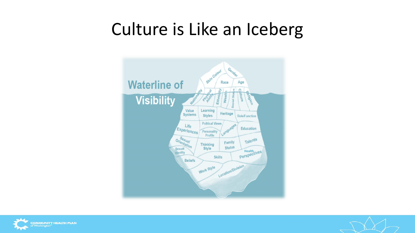## Culture is Like an Iceberg





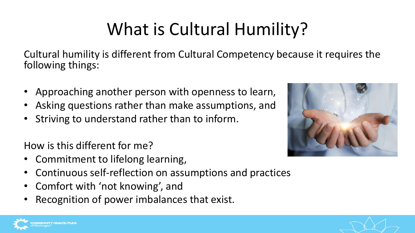# What is Cultural Humility?

Cultural humility is different from Cultural Competency because it requires the following things:

- Approaching another person with openness to learn,
- Asking questions rather than make assumptions, and
- Striving to understand rather than to inform.

How is this different for me?

- Commitment to lifelong learning,
- Continuous self-reflection on assumptions and practices
- Comfort with 'not knowing', and
- Recognition of power imbalances that exist.





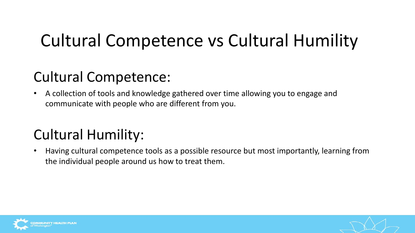## Cultural Competence vs Cultural Humility

### Cultural Competence:

• A collection of tools and knowledge gathered over time allowing you to engage and communicate with people who are different from you.

#### Cultural Humility:

• Having cultural competence tools as a possible resource but most importantly, learning from the individual people around us how to treat them.



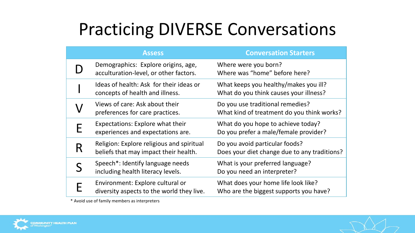## Practicing DIVERSE Conversations

| <b>Assess</b>                                                                      | <b>Conversation Starters</b>                                                    |
|------------------------------------------------------------------------------------|---------------------------------------------------------------------------------|
| Demographics: Explore origins, age,<br>acculturation-level, or other factors.      | Where were you born?<br>Where was "home" before here?                           |
| Ideas of health: Ask for their ideas or<br>concepts of health and illness.         | What keeps you healthy/makes you ill?<br>What do you think causes your illness? |
| Views of care: Ask about their<br>preferences for care practices.                  | Do you use traditional remedies?<br>What kind of treatment do you think works?  |
| <b>Expectations: Explore what their</b><br>experiences and expectations are.       | What do you hope to achieve today?<br>Do you prefer a male/female provider?     |
| Religion: Explore religious and spiritual<br>beliefs that may impact their health. | Do you avoid particular foods?<br>Does your diet change due to any traditions?  |
| Speech*: Identify language needs<br>including health literacy levels.              | What is your preferred language?<br>Do you need an interpreter?                 |
| Environment: Explore cultural or<br>diversity aspects to the world they live.      | What does your home life look like?<br>Who are the biggest supports you have?   |

\* Avoid use of family members as interpreters



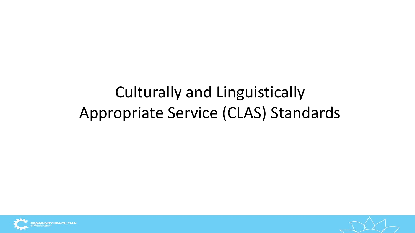## Culturally and Linguistically Appropriate Service (CLAS) Standards



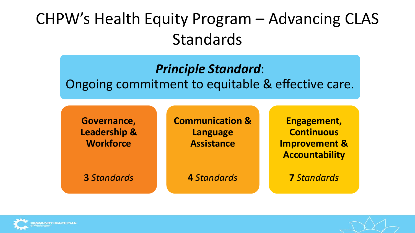## CHPW's Health Equity Program – Advancing CLAS Standards

#### *Principle Standard*:

Ongoing commitment to equitable & effective care.

**Governance, Leadership & Workforce**

**3** *Standards*

**Communication & Language Assistance**

**4** *Standards*

**Engagement, Continuous Improvement & Accountability**

**7** *Standards*



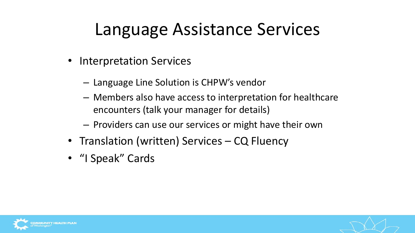## Language Assistance Services

- Interpretation Services
	- Language Line Solution is CHPW's vendor
	- Members also have access to interpretation for healthcare encounters (talk your manager for details)
	- Providers can use our services or might have their own
- Translation (written) Services CQ Fluency
- "I Speak" Cards



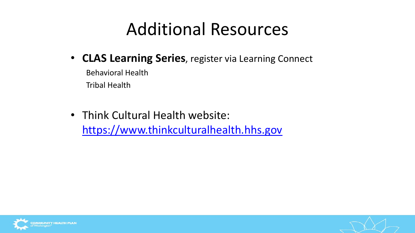## Additional Resources

- **CLAS Learning Series**, register via Learning Connect Behavioral Health Tribal Health
- Think Cultural Health website: [https://www.thinkculturalhealth.hhs.gov](https://www.thinkculturalhealth.hhs.gov/)